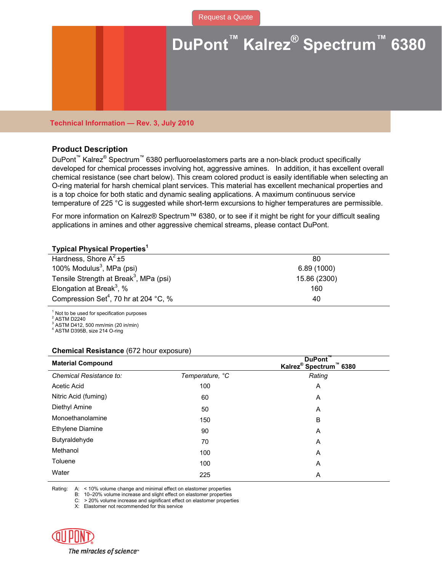

## **Technical Information — Rev. 3, July 2010**

#### **Product Description**

DuPont<sup>™</sup> Kalrez<sup>®</sup> Spectrum<sup>™</sup> 6380 perfluoroelastomers parts are a non-black product specifically developed for chemical processes involving hot, aggressive amines. In addition, it has excellent overall chemical resistance (see chart below). This cream colored product is easily identifiable when selecting an O-ring material for harsh chemical plant services. This material has excellent mechanical properties and is a top choice for both static and dynamic sealing applications. A maximum continuous service temperature of 225 °C is suggested while short-term excursions to higher temperatures are permissible.

For more information on Kalrez® Spectrum™ 6380, or to see if it might be right for your difficult sealing applications in amines and other aggressive chemical streams, please contact DuPont.

### **Typical Physical Properties<sup>1</sup>**

| Hardness, Shore $A^2 \pm 5$                        | 80           |  |
|----------------------------------------------------|--------------|--|
| 100% Modulus <sup>3</sup> , MPa (psi)              | 6.89(1000)   |  |
| Tensile Strength at Break <sup>3</sup> , MPa (psi) | 15.86 (2300) |  |
| Elongation at Break <sup>3</sup> , %               | 160          |  |
| Compression Set <sup>4</sup> , 70 hr at 204 °C, %  | 40           |  |
|                                                    |              |  |

1 Not to be used for specification purposes

2 ASTM D2240

 $3$  ASTM D412, 500 mm/min (20 in/min) 4

ASTM D395B, size 214 O-ring

#### **Chemical Resistance** (672 hour exposure)

| <b>Material Compound</b> |                 | DuPont <sup>"</sup><br>Kalrez <sup>®</sup> Spectrum™ 6380 |
|--------------------------|-----------------|-----------------------------------------------------------|
| Chemical Resistance to:  | Temperature, °C | Rating                                                    |
| Acetic Acid              | 100             | A                                                         |
| Nitric Acid (fuming)     | 60              | Α                                                         |
| Diethyl Amine            | 50              | A                                                         |
| Monoethanolamine         | 150             | B                                                         |
| <b>Ethylene Diamine</b>  | 90              | A                                                         |
| Butyraldehyde            | 70              | A                                                         |
| Methanol                 | 100             | A                                                         |
| Toluene                  | 100             | A                                                         |
| Water                    | 225             | A                                                         |

Rating: A: < 10% volume change and minimal effect on elastomer properties

B: 10–20% volume increase and slight effect on elastomer properties

C: > 20% volume increase and significant effect on elastomer properties

X: Elastomer not recommended for this service